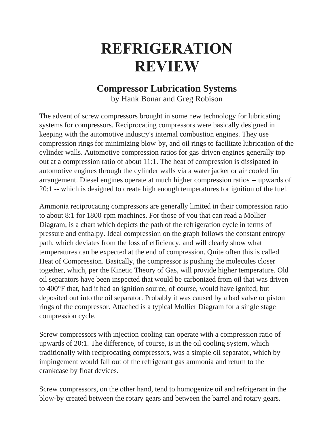## **REFRIGERATION REVIEW**

## **Compressor Lubrication Systems**

by Hank Bonar and Greg Robison

The advent of screw compressors brought in some new technology for lubricating systems for compressors. Reciprocating compressors were basically designed in keeping with the automotive industry's internal combustion engines. They use compression rings for minimizing blow-by, and oil rings to facilitate lubrication of the cylinder walls. Automotive compression ratios for gas-driven engines generally top out at a compression ratio of about 11:1. The heat of compression is dissipated in automotive engines through the cylinder walls via a water jacket or air cooled fin arrangement. Diesel engines operate at much higher compression ratios -- upwards of 20:1 -- which is designed to create high enough temperatures for ignition of the fuel.

Ammonia reciprocating compressors are generally limited in their compression ratio to about 8:1 for 1800-rpm machines. For those of you that can read a Mollier Diagram, is a chart which depicts the path of the refrigeration cycle in terms of pressure and enthalpy. Ideal compression on the graph follows the constant entropy path, which deviates from the loss of efficiency, and will clearly show what temperatures can be expected at the end of compression. Quite often this is called Heat of Compression. Basically, the compressor is pushing the molecules closer together, which, per the Kinetic Theory of Gas, will provide higher temperature. Old oil separators have been inspected that would be carbonized from oil that was driven to 400°F that, had it had an ignition source, of course, would have ignited, but deposited out into the oil separator. Probably it was caused by a bad valve or piston rings of the compressor. Attached is a typical Mollier Diagram for a single stage compression cycle.

Screw compressors with injection cooling can operate with a compression ratio of upwards of 20:1. The difference, of course, is in the oil cooling system, which traditionally with reciprocating compressors, was a simple oil separator, which by impingement would fall out of the refrigerant gas ammonia and return to the crankcase by float devices.

Screw compressors, on the other hand, tend to homogenize oil and refrigerant in the blow-by created between the rotary gears and between the barrel and rotary gears.